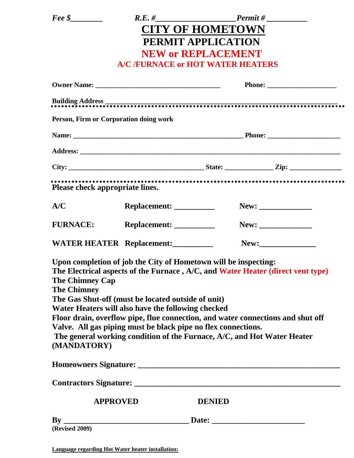| $\textit{Free } \$\_\_$                                                                                                                                                                                                                                                                                                                                                                                                                                                                                                                                      |  |               | $R.E. # _______$ Permit # |
|--------------------------------------------------------------------------------------------------------------------------------------------------------------------------------------------------------------------------------------------------------------------------------------------------------------------------------------------------------------------------------------------------------------------------------------------------------------------------------------------------------------------------------------------------------------|--|---------------|---------------------------|
| <b>CITY OF HOMETOWN</b>                                                                                                                                                                                                                                                                                                                                                                                                                                                                                                                                      |  |               |                           |
| PERMIT APPLICATION                                                                                                                                                                                                                                                                                                                                                                                                                                                                                                                                           |  |               |                           |
| <b>NEW or REPLACEMENT</b>                                                                                                                                                                                                                                                                                                                                                                                                                                                                                                                                    |  |               |                           |
| <b>A/C /FURNACE or HOT WATER HEATERS</b>                                                                                                                                                                                                                                                                                                                                                                                                                                                                                                                     |  |               |                           |
|                                                                                                                                                                                                                                                                                                                                                                                                                                                                                                                                                              |  |               |                           |
|                                                                                                                                                                                                                                                                                                                                                                                                                                                                                                                                                              |  |               |                           |
| Person, Firm or Corporation doing work                                                                                                                                                                                                                                                                                                                                                                                                                                                                                                                       |  |               |                           |
|                                                                                                                                                                                                                                                                                                                                                                                                                                                                                                                                                              |  |               |                           |
|                                                                                                                                                                                                                                                                                                                                                                                                                                                                                                                                                              |  |               |                           |
|                                                                                                                                                                                                                                                                                                                                                                                                                                                                                                                                                              |  |               |                           |
| Please check appropriate lines.                                                                                                                                                                                                                                                                                                                                                                                                                                                                                                                              |  |               |                           |
| A/C                                                                                                                                                                                                                                                                                                                                                                                                                                                                                                                                                          |  |               |                           |
| FURNACE: Replacement: __________                                                                                                                                                                                                                                                                                                                                                                                                                                                                                                                             |  |               |                           |
| WATER HEATER Replacement:                                                                                                                                                                                                                                                                                                                                                                                                                                                                                                                                    |  |               |                           |
| Upon completion of job the City of Hometown will be inspecting:<br>The Electrical aspects of the Furnace, A/C, and Water Heater (direct vent type)<br><b>The Chimney Cap</b><br><b>The Chimney</b><br>The Gas Shut-off (must be located outside of unit)<br>Water Heaters will also have the following checked<br>Floor drain, overflow pipe, flue connection, and water connections and shut off<br>Valve. All gas piping must be black pipe no flex connections.<br>The general working condition of the Furnace, A/C, and Hot Water Heater<br>(MANDATORY) |  |               |                           |
|                                                                                                                                                                                                                                                                                                                                                                                                                                                                                                                                                              |  |               |                           |
|                                                                                                                                                                                                                                                                                                                                                                                                                                                                                                                                                              |  |               |                           |
| <b>APPROVED</b>                                                                                                                                                                                                                                                                                                                                                                                                                                                                                                                                              |  | <b>DENIED</b> |                           |
| <b>(Revised 2009)</b>                                                                                                                                                                                                                                                                                                                                                                                                                                                                                                                                        |  |               |                           |

**Language regarding Hot Water heater installation:**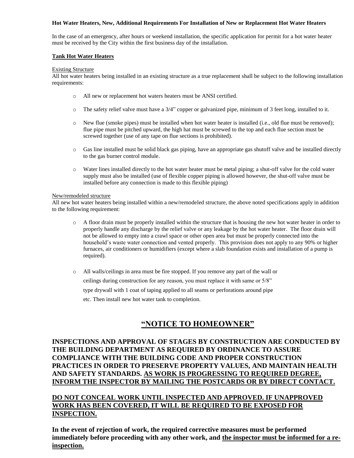### **Hot Water Heaters, New, Additional Requirements For Installation of New or Replacement Hot Water Heaters**

In the case of an emergency, after hours or weekend installation, the specific application for permit for a hot water heater must be received by the City within the first business day of the installation.

### **Tank Hot Water Heaters**

### Existing Structure

All hot water heaters being installed in an existing structure as a true replacement shall be subject to the following installation requirements:

- o All new or replacement hot waters heaters must be ANSI certified.
- o The safety relief valve must have a 3/4" copper or galvanized pipe, minimum of 3 feet long, installed to it.
- o New flue (smoke pipes) must be installed when hot water heater is installed (i.e., old flue must be removed); flue pipe must be pitched upward, the high hat must be screwed to the top and each flue section must be screwed together (use of any tape on flue sections is prohibited).
- o Gas line installed must be solid black gas piping, have an appropriate gas shutoff valve and be installed directly to the gas burner control module.
- o Water lines installed directly to the hot water heater must be metal piping; a shut-off valve for the cold water supply must also be installed (use of flexible copper piping is allowed however, the shut-off valve must be installed before any connection is made to this flexible piping)

### New/remodeled structure

All new hot water heaters being installed within a new/remodeled structure, the above noted specifications apply in addition to the following requirement:

- o A floor drain must be properly installed within the structure that is housing the new hot water heater in order to properly handle any discharge by the relief valve or any leakage by the hot water heater. The floor drain will not be allowed to empty into a crawl space or other open area but must be properly connected into the household's waste water connection and vented properly. This provision does not apply to any 90% or higher furnaces, air conditioners or humidifiers (except where a slab foundation exists and installation of a pump is required).
- o All walls/ceilings in area must be fire stopped. If you remove any part of the wall or ceilings during construction for any reason, you must replace it with same or 5/8" type drywall with 1 coat of taping applied to all seams or perforations around pipe etc. Then install new hot water tank to completion.

## **"NOTICE TO HOMEOWNER"**

### **INSPECTIONS AND APPROVAL OF STAGES BY CONSTRUCTION ARE CONDUCTED BY THE BUILDING DEPARTMENT AS REQUIRED BY ORDINANCE TO ASSURE COMPLIANCE WITH THE BUILDING CODE AND PROPER CONSTRUCTION PRACTICES IN ORDER TO PRESERVE PROPERTY VALUES, AND MAINTAIN HEALTH AND SAFETY STANDARDS. AS WORK IS PROGRESSING TO REQUIRED DEGREE, INFORM THE INSPECTOR BY MAILING THE POSTCARDS OR BY DIRECT CONTACT.**

## **DO NOT CONCEAL WORK UNTIL INSPECTED AND APPROVED. IF UNAPPROVED WORK HAS BEEN COVERED, IT WILL BE REQUIRED TO BE EXPOSED FOR INSPECTION.**

**In the event of rejection of work, the required corrective measures must be performed immediately before proceeding with any other work, and the inspector must be informed for a reinspection.**